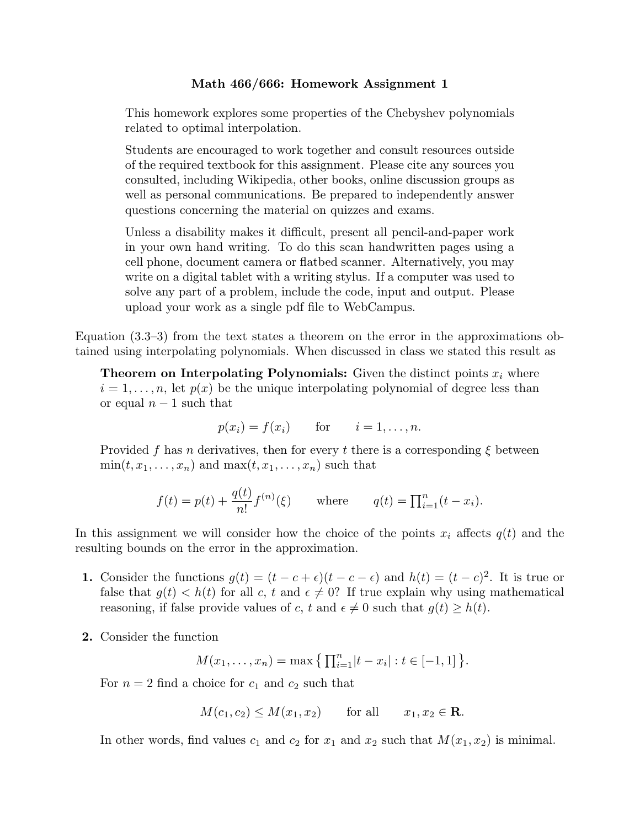## **Math 466/666: Homework Assignment 1**

This homework explores some properties of the Chebyshev polynomials related to optimal interpolation.

Students are encouraged to work together and consult resources outside of the required textbook for this assignment. Please cite any sources you consulted, including Wikipedia, other books, online discussion groups as well as personal communications. Be prepared to independently answer questions concerning the material on quizzes and exams.

Unless a disability makes it difficult, present all pencil-and-paper work in your own hand writing. To do this scan handwritten pages using a cell phone, document camera or flatbed scanner. Alternatively, you may write on a digital tablet with a writing stylus. If a computer was used to solve any part of a problem, include the code, input and output. Please upload your work as a single pdf file to WebCampus.

Equation (3.3–3) from the text states a theorem on the error in the approximations obtained using interpolating polynomials. When discussed in class we stated this result as

**Theorem on Interpolating Polynomials:** Given the distinct points *x<sup>i</sup>* where  $i = 1, \ldots, n$ , let  $p(x)$  be the unique interpolating polynomial of degree less than or equal *n −* 1 such that

$$
p(x_i) = f(x_i) \quad \text{for} \quad i = 1, \dots, n.
$$

Provided f has *n* derivatives, then for every t there is a corresponding  $\xi$  between  $\min(t, x_1, \ldots, x_n)$  and  $\max(t, x_1, \ldots, x_n)$  such that

$$
f(t) = p(t) + \frac{q(t)}{n!} f^{(n)}(\xi)
$$
 where  $q(t) = \prod_{i=1}^{n} (t - x_i).$ 

In this assignment we will consider how the choice of the points  $x_i$  affects  $q(t)$  and the resulting bounds on the error in the approximation.

- **1.** Consider the functions  $g(t) = (t c + \epsilon)(t c \epsilon)$  and  $h(t) = (t c)^2$ . It is true or false that  $g(t) < h(t)$  for all c, t and  $\epsilon \neq 0$ ? If true explain why using mathematical reasoning, if false provide values of *c*, *t* and  $\epsilon \neq 0$  such that  $g(t) \geq h(t)$ .
- **2.** Consider the function

$$
M(x_1,...,x_n) = \max \{ \prod_{i=1}^n |t - x_i| : t \in [-1,1] \}.
$$

For  $n = 2$  find a choice for  $c_1$  and  $c_2$  such that

$$
M(c_1, c_2) \le M(x_1, x_2) \quad \text{for all} \quad x_1, x_2 \in \mathbf{R}.
$$

In other words, find values  $c_1$  and  $c_2$  for  $x_1$  and  $x_2$  such that  $M(x_1, x_2)$  is minimal.